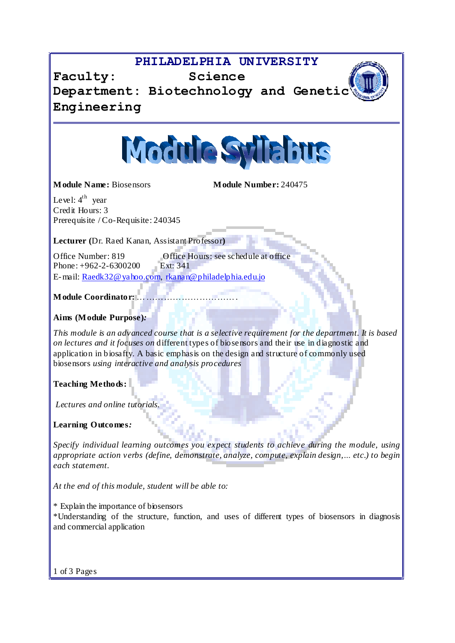## **PHILADELPHIA UNIVERSITY**

**Faculty: Science Department: Biotechnology and Genetic Engineering**



**Module Name:** Biosensors **Module Number:** 240475

Level:  $4^{\text{th}}$  year Credit Hours: 3 Prerequisite / Co-Requisite: 240345

**Lecturer (**Dr. Raed Kanan, Assistant Professor**)**

Office Number: 819 Office Hours: see schedule at office<br>Phone: +962-2-6300200 Ext: 341 Phone:  $+962-2-6300200$ E-mail: [Raedk32@yahoo.com,](mailto:Raedk32@yahoo.com) [rkanan@philadelphia.edu.jo](mailto:rkanan@philadelphia.edu.jo)

**Module Coordinator:** 

**Aims (Module Purpose)***:*

*This module is an advanced course that is a selective requirement for the department. It is based on lectures and it focuses on* different types of biosensors and their use in diagnostic and application in biosafty. A basic emphasis on the design and structure of commonly used biosensors *using interactive and analysis procedures*

**Teaching Methods:**

*Lectures and online tutorials.*

**Learning Outcomes***:*

*Specify individual learning outcomes you expect students to achieve during the module, using appropriate action verbs (define, demonstrate, analyze, compute, explain design,Ö etc.) to begin each statement.*

*At the end of this module, student will be able to:*

\* Explain the importance of biosensors

\*Understanding of the structure, function, and uses of different types of biosensors in diagnosis and commercial application

1 of 3 Pages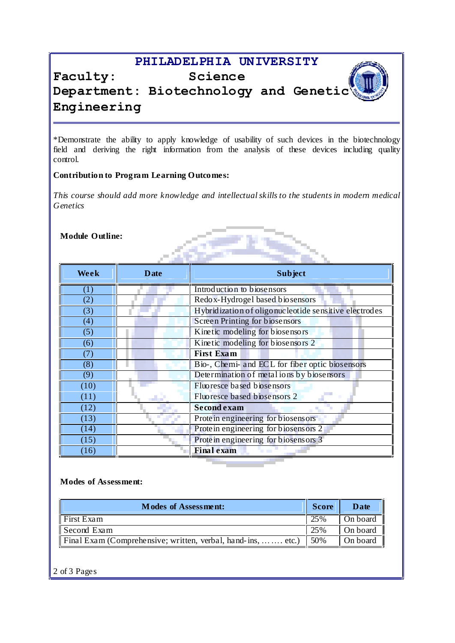## **PHILADELPHIA UNIVERSITY**



# **Faculty: Science Department: Biotechnology and Genetic Engineering**

\*Demonstrate the ability to apply knowledge of usability of such devices in the biotechnology field and deriving the right information from the analysis of these devices including quality control.

#### **Contribution to Program Learning Outcomes:**

*This course should add more knowledge and intellectualskills to the students in modern medical Genetics*

**Module Outline:**

| <b>Module Outline:</b> |             |                                                       |
|------------------------|-------------|-------------------------------------------------------|
|                        |             |                                                       |
|                        |             |                                                       |
| Week                   | <b>Date</b> | <b>Subject</b>                                        |
| (1)                    |             | Introduction to biosensors                            |
| (2)                    |             | Redox-Hydrogel based biosensors                       |
| (3)                    |             | Hybridization of oligonucleotide sensitive electrodes |
| (4)                    |             | Screen Printing for biosensors                        |
| (5)                    |             | Kinetic modeling for biosensors                       |
| (6)                    |             | Kinetic modeling for biosensors 2                     |
| (7)                    |             | <b>First Exam</b>                                     |
| (8)                    |             | Bio-, Chemi- and ECL for fiber optic biosensors       |
| (9)                    |             | Determination of metal ions by biosensors             |
| (10)                   |             | Fluoresce based biosensors                            |
| (11)                   |             | Fluoresce based biosensors 2                          |
| (12)                   |             | <b>Second exam</b>                                    |
| (13)                   |             | Protein engineering for biosensors                    |
| (14)                   |             | Protein engineering for biosensors 2                  |
| (15)                   |             | Protein engineering for biosensors 3                  |
| (16)                   |             | <b>Final exam</b>                                     |

#### **Modes of Assessment:**

| <b>Modes of Assessment:</b>                                            | <b>Score</b> | Date     |
|------------------------------------------------------------------------|--------------|----------|
| First Exam                                                             | 25%          | On board |
| Second Exam                                                            | 25%          | On board |
| Final Exam (Comprehensive; written, verbal, hand-ins,   etc.)   $50\%$ |              | On board |

2 of 3 Pages